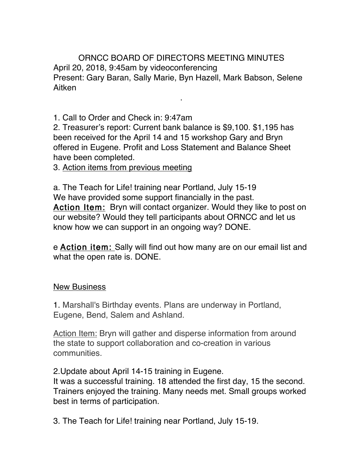ORNCC BOARD OF DIRECTORS MEETING MINUTES April 20, 2018, 9:45am by videoconferencing Present: Gary Baran, Sally Marie, Byn Hazell, Mark Babson, Selene Aitken

.

1. Call to Order and Check in: 9:47am

2. Treasurer's report: Current bank balance is \$9,100. \$1,195 has been received for the April 14 and 15 workshop Gary and Bryn offered in Eugene. Profit and Loss Statement and Balance Sheet have been completed.

3. Action items from previous meeting

a. The Teach for Life! training near Portland, July 15-19 We have provided some support financially in the past. Action Item: Bryn will contact organizer. Would they like to post on our website? Would they tell participants about ORNCC and let us know how we can support in an ongoing way? DONE.

e Action item: Sally will find out how many are on our email list and what the open rate is. DONE.

## New Business

1. Marshall's Birthday events. Plans are underway in Portland, Eugene, Bend, Salem and Ashland.

Action Item: Bryn will gather and disperse information from around the state to support collaboration and co-creation in various communities.

2.Update about April 14-15 training in Eugene.

It was a successful training. 18 attended the first day, 15 the second. Trainers enjoyed the training. Many needs met. Small groups worked best in terms of participation.

3. The Teach for Life! training near Portland, July 15-19.